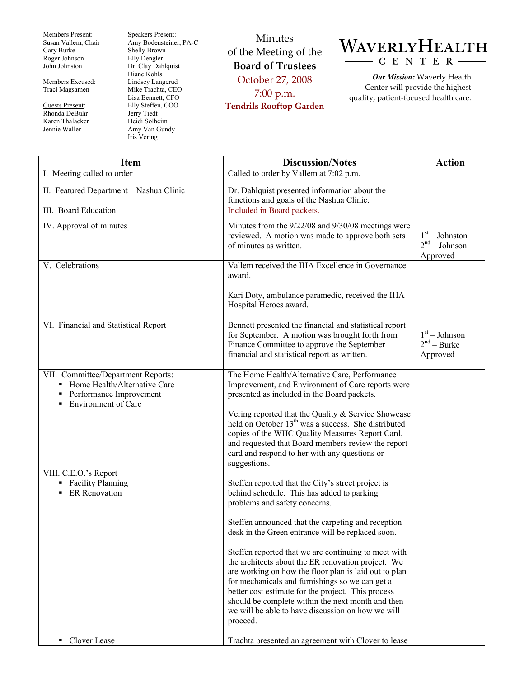Members Present: Susan Vallem, Chair Gary Burke Roger Johnson John Johnston

Members Excused: Traci Magsamen

Guests Present: Rhonda DeBuhr Karen Thalacker Jennie Waller

Speakers Present: Amy Bodensteiner, PA-C Shelly Brown Elly Dengler Dr. Clay Dahlquist Diane Kohls Lindsey Langerud Mike Trachta, CEO Lisa Bennett, CFO Elly Steffen, COO Jerry Tiedt Heidi Solheim Amy Van Gundy Iris Vering

Minutes of the Meeting of the **Board of Trustees**  October 27, 2008 7:00 p.m. **Tendrils Rooftop Garden** 



*Our Mission:* Waverly Health Center will provide the highest quality, patient-focused health care.

| <b>Item</b>                                                                                                                 | <b>Discussion/Notes</b>                                                                                                                                                                                                                                                                                                                                                                            | <b>Action</b>                                   |
|-----------------------------------------------------------------------------------------------------------------------------|----------------------------------------------------------------------------------------------------------------------------------------------------------------------------------------------------------------------------------------------------------------------------------------------------------------------------------------------------------------------------------------------------|-------------------------------------------------|
| I. Meeting called to order                                                                                                  | Called to order by Vallem at 7:02 p.m.                                                                                                                                                                                                                                                                                                                                                             |                                                 |
| II. Featured Department - Nashua Clinic                                                                                     | Dr. Dahlquist presented information about the<br>functions and goals of the Nashua Clinic.                                                                                                                                                                                                                                                                                                         |                                                 |
| III. Board Education                                                                                                        | Included in Board packets.                                                                                                                                                                                                                                                                                                                                                                         |                                                 |
| IV. Approval of minutes                                                                                                     | Minutes from the 9/22/08 and 9/30/08 meetings were<br>reviewed. A motion was made to approve both sets<br>of minutes as written.                                                                                                                                                                                                                                                                   | $1st - Johnston$<br>$2nd - Johnson$<br>Approved |
| V. Celebrations                                                                                                             | Vallem received the IHA Excellence in Governance<br>award.                                                                                                                                                                                                                                                                                                                                         |                                                 |
|                                                                                                                             | Kari Doty, ambulance paramedic, received the IHA<br>Hospital Heroes award.                                                                                                                                                                                                                                                                                                                         |                                                 |
| VI. Financial and Statistical Report                                                                                        | Bennett presented the financial and statistical report<br>for September. A motion was brought forth from<br>Finance Committee to approve the September<br>financial and statistical report as written.                                                                                                                                                                                             | $1st - Johnson$<br>$2nd - Burke$<br>Approved    |
| VII. Committee/Department Reports:<br>Home Health/Alternative Care<br>Performance Improvement<br><b>Environment of Care</b> | The Home Health/Alternative Care, Performance<br>Improvement, and Environment of Care reports were<br>presented as included in the Board packets.                                                                                                                                                                                                                                                  |                                                 |
|                                                                                                                             | Vering reported that the Quality & Service Showcase<br>held on October 13 <sup>th</sup> was a success. She distributed<br>copies of the WHC Quality Measures Report Card,<br>and requested that Board members review the report<br>card and respond to her with any questions or<br>suggestions.                                                                                                   |                                                 |
| VIII. C.E.O.'s Report<br><b>Facility Planning</b><br>٠<br><b>ER</b> Renovation                                              | Steffen reported that the City's street project is<br>behind schedule. This has added to parking<br>problems and safety concerns.                                                                                                                                                                                                                                                                  |                                                 |
|                                                                                                                             | Steffen announced that the carpeting and reception<br>desk in the Green entrance will be replaced soon.                                                                                                                                                                                                                                                                                            |                                                 |
|                                                                                                                             | Steffen reported that we are continuing to meet with<br>the architects about the ER renovation project. We<br>are working on how the floor plan is laid out to plan<br>for mechanicals and furnishings so we can get a<br>better cost estimate for the project. This process<br>should be complete within the next month and then<br>we will be able to have discussion on how we will<br>proceed. |                                                 |
| Clover Lease                                                                                                                | Trachta presented an agreement with Clover to lease                                                                                                                                                                                                                                                                                                                                                |                                                 |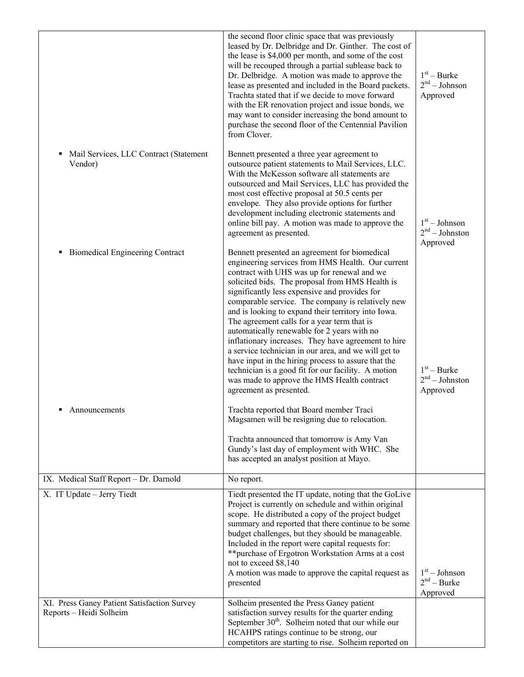|                                                                        | the second floor clinic space that was previously<br>leased by Dr. Delbridge and Dr. Ginther. The cost of<br>the lease is \$4,000 per month, and some of the cost<br>will be recouped through a partial sublease back to<br>Dr. Delbridge. A motion was made to approve the<br>lease as presented and included in the Board packets.<br>Trachta stated that if we decide to move forward<br>with the ER renovation project and issue bonds, we<br>may want to consider increasing the bond amount to<br>purchase the second floor of the Centennial Pavilion<br>from Clover.                                                                                                                                                                                           | $1st - Burke$<br>$2nd - Johnson$<br>Approved    |
|------------------------------------------------------------------------|------------------------------------------------------------------------------------------------------------------------------------------------------------------------------------------------------------------------------------------------------------------------------------------------------------------------------------------------------------------------------------------------------------------------------------------------------------------------------------------------------------------------------------------------------------------------------------------------------------------------------------------------------------------------------------------------------------------------------------------------------------------------|-------------------------------------------------|
| Mail Services, LLC Contract (Statement<br>٠<br>Vendor)                 | Bennett presented a three year agreement to<br>outsource patient statements to Mail Services, LLC.<br>With the McKesson software all statements are<br>outsourced and Mail Services, LLC has provided the<br>most cost effective proposal at 50.5 cents per<br>envelope. They also provide options for further<br>development including electronic statements and<br>online bill pay. A motion was made to approve the<br>agreement as presented.                                                                                                                                                                                                                                                                                                                      | $1st - Johnson$<br>$2nd - Johnston$<br>Approved |
| <b>Biomedical Engineering Contract</b><br>٠                            | Bennett presented an agreement for biomedical<br>engineering services from HMS Health. Our current<br>contract with UHS was up for renewal and we<br>solicited bids. The proposal from HMS Health is<br>significantly less expensive and provides for<br>comparable service. The company is relatively new<br>and is looking to expand their territory into Iowa.<br>The agreement calls for a year term that is<br>automatically renewable for 2 years with no<br>inflationary increases. They have agreement to hire<br>a service technician in our area, and we will get to<br>have input in the hiring process to assure that the<br>technician is a good fit for our facility. A motion<br>was made to approve the HMS Health contract<br>agreement as presented. | $1st - Burke$<br>$2nd - Johnson$<br>Approved    |
| ٠<br>Announcements                                                     | Trachta reported that Board member Traci<br>Magsamen will be resigning due to relocation.<br>Trachta announced that tomorrow is Amy Van<br>Gundy's last day of employment with WHC. She<br>has accepted an analyst position at Mayo.                                                                                                                                                                                                                                                                                                                                                                                                                                                                                                                                   |                                                 |
| IX. Medical Staff Report - Dr. Darnold                                 | No report.                                                                                                                                                                                                                                                                                                                                                                                                                                                                                                                                                                                                                                                                                                                                                             |                                                 |
| X. IT Update - Jerry Tiedt                                             | Tiedt presented the IT update, noting that the GoLive<br>Project is currently on schedule and within original<br>scope. He distributed a copy of the project budget<br>summary and reported that there continue to be some<br>budget challenges, but they should be manageable.<br>Included in the report were capital requests for:<br>** purchase of Ergotron Workstation Arms at a cost<br>not to exceed \$8,140<br>A motion was made to approve the capital request as<br>presented                                                                                                                                                                                                                                                                                | $1st - Johnson$<br>$2nd - Burke$<br>Approved    |
| XI. Press Ganey Patient Satisfaction Survey<br>Reports - Heidi Solheim | Solheim presented the Press Ganey patient<br>satisfaction survey results for the quarter ending<br>September 30 <sup>th</sup> . Solheim noted that our while our<br>HCAHPS ratings continue to be strong, our<br>competitors are starting to rise. Solheim reported on                                                                                                                                                                                                                                                                                                                                                                                                                                                                                                 |                                                 |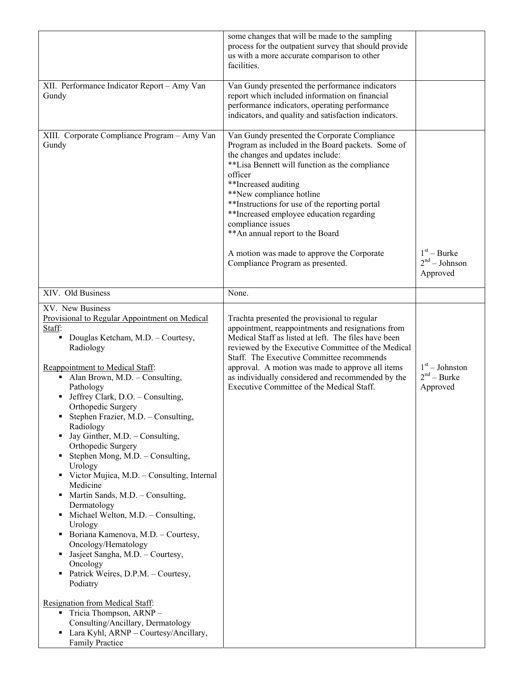|                                                                                                                                                                                                                                                                                                                                                                                                                                                                                                                                                                                                                                                                                                                                                                                                          | some changes that will be made to the sampling<br>process for the outpatient survey that should provide<br>us with a more accurate comparison to other<br>facilities.                                                                                                                                                                                                                                                                                                                           |                                               |
|----------------------------------------------------------------------------------------------------------------------------------------------------------------------------------------------------------------------------------------------------------------------------------------------------------------------------------------------------------------------------------------------------------------------------------------------------------------------------------------------------------------------------------------------------------------------------------------------------------------------------------------------------------------------------------------------------------------------------------------------------------------------------------------------------------|-------------------------------------------------------------------------------------------------------------------------------------------------------------------------------------------------------------------------------------------------------------------------------------------------------------------------------------------------------------------------------------------------------------------------------------------------------------------------------------------------|-----------------------------------------------|
| XII. Performance Indicator Report - Amy Van<br>Gundy                                                                                                                                                                                                                                                                                                                                                                                                                                                                                                                                                                                                                                                                                                                                                     | Van Gundy presented the performance indicators<br>report which included information on financial<br>performance indicators, operating performance<br>indicators, and quality and satisfaction indicators.                                                                                                                                                                                                                                                                                       |                                               |
| XIII. Corporate Compliance Program - Amy Van<br>Gundy                                                                                                                                                                                                                                                                                                                                                                                                                                                                                                                                                                                                                                                                                                                                                    | Van Gundy presented the Corporate Compliance<br>Program as included in the Board packets. Some of<br>the changes and updates include:<br>**Lisa Bennett will function as the compliance<br>officer<br>**Increased auditing<br>**New compliance hotline<br>**Instructions for use of the reporting portal<br>**Increased employee education regarding<br>compliance issues<br>** An annual report to the Board<br>A motion was made to approve the Corporate<br>Compliance Program as presented. | $1st - Burke$<br>$2nd - Johnson$<br>Approved  |
| XIV. Old Business                                                                                                                                                                                                                                                                                                                                                                                                                                                                                                                                                                                                                                                                                                                                                                                        | None.                                                                                                                                                                                                                                                                                                                                                                                                                                                                                           |                                               |
|                                                                                                                                                                                                                                                                                                                                                                                                                                                                                                                                                                                                                                                                                                                                                                                                          |                                                                                                                                                                                                                                                                                                                                                                                                                                                                                                 |                                               |
| XV. New Business<br>Provisional to Regular Appointment on Medical<br>Staff:<br>Douglas Ketcham, M.D. - Courtesy,<br>Ξ<br>Radiology<br>Reappointment to Medical Staff:<br>Alan Brown, M.D. - Consulting,<br>Pathology<br>Jeffrey Clark, D.O. - Consulting,<br>Orthopedic Surgery<br>Stephen Frazier, M.D. - Consulting,<br>Radiology<br>Jay Ginther, M.D. - Consulting,<br>٠<br>Orthopedic Surgery<br>Stephen Mong, M.D. - Consulting,<br>Urology<br>• Victor Mujica, M.D. - Consulting, Internal<br>Medicine<br>Martin Sands, M.D. - Consulting,<br>٠<br>Dermatology<br>Michael Welton, M.D. - Consulting,<br>٠<br>Urology<br>Boriana Kamenova, M.D. - Courtesy,<br>٠<br>Oncology/Hematology<br>Jasjeet Sangha, M.D. - Courtesy,<br>٠<br>Oncology<br>Patrick Weires, D.P.M. - Courtesy,<br>٠<br>Podiatry | Trachta presented the provisional to regular<br>appointment, reappointments and resignations from<br>Medical Staff as listed at left. The files have been<br>reviewed by the Executive Committee of the Medical<br>Staff. The Executive Committee recommends<br>approval. A motion was made to approve all items<br>as individually considered and recommended by the<br>Executive Committee of the Medical Staff.                                                                              | $1st - Johnston$<br>$2nd - Burke$<br>Approved |
| Resignation from Medical Staff:<br>Tricia Thompson, ARNP-<br>×<br>Consulting/Ancillary, Dermatology<br>Lara Kyhl, ARNP - Courtesy/Ancillary,<br>٠<br><b>Family Practice</b>                                                                                                                                                                                                                                                                                                                                                                                                                                                                                                                                                                                                                              |                                                                                                                                                                                                                                                                                                                                                                                                                                                                                                 |                                               |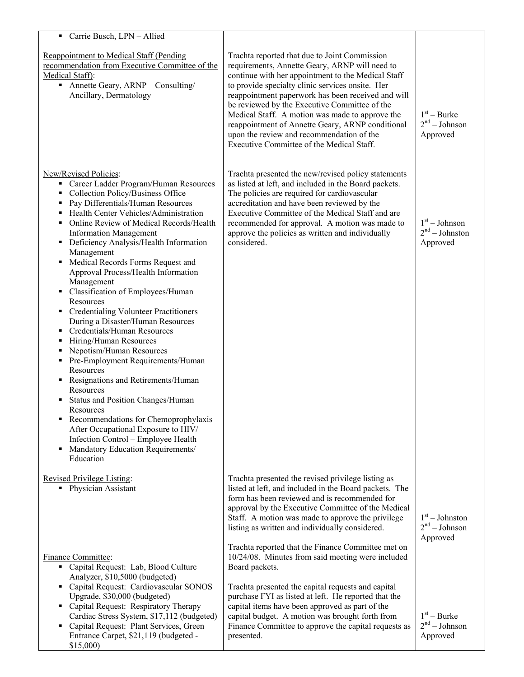| Carrie Busch, LPN - Allied                                                                                                                                                                                                                                                                                                                                                                                                                                                                                                                                                                                                                                                                                                                                                                                                                                                                                                                                                                                                        |                                                                                                                                                                                                                                                                                                                                                                                                                                                                                                                   |                                                 |
|-----------------------------------------------------------------------------------------------------------------------------------------------------------------------------------------------------------------------------------------------------------------------------------------------------------------------------------------------------------------------------------------------------------------------------------------------------------------------------------------------------------------------------------------------------------------------------------------------------------------------------------------------------------------------------------------------------------------------------------------------------------------------------------------------------------------------------------------------------------------------------------------------------------------------------------------------------------------------------------------------------------------------------------|-------------------------------------------------------------------------------------------------------------------------------------------------------------------------------------------------------------------------------------------------------------------------------------------------------------------------------------------------------------------------------------------------------------------------------------------------------------------------------------------------------------------|-------------------------------------------------|
| <b>Reappointment to Medical Staff (Pending</b><br>recommendation from Executive Committee of the<br>Medical Staff):<br>Annette Geary, $ARNP$ – Consulting/<br>Ancillary, Dermatology                                                                                                                                                                                                                                                                                                                                                                                                                                                                                                                                                                                                                                                                                                                                                                                                                                              | Trachta reported that due to Joint Commission<br>requirements, Annette Geary, ARNP will need to<br>continue with her appointment to the Medical Staff<br>to provide specialty clinic services onsite. Her<br>reappointment paperwork has been received and will<br>be reviewed by the Executive Committee of the<br>Medical Staff. A motion was made to approve the<br>reappointment of Annette Geary, ARNP conditional<br>upon the review and recommendation of the<br>Executive Committee of the Medical Staff. | $1st$ – Burke<br>$2nd - Johnson$<br>Approved    |
| New/Revised Policies:<br>Career Ladder Program/Human Resources<br>٠<br>Collection Policy/Business Office<br>٠<br>Pay Differentials/Human Resources<br>Health Center Vehicles/Administration<br>٠<br>Online Review of Medical Records/Health<br>٠<br><b>Information Management</b><br>Deficiency Analysis/Health Information<br>٠<br>Management<br>• Medical Records Forms Request and<br>Approval Process/Health Information<br>Management<br>Classification of Employees/Human<br>٠<br>Resources<br>Credentialing Volunteer Practitioners<br>٠<br>During a Disaster/Human Resources<br>Credentials/Human Resources<br>٠<br>Hiring/Human Resources<br>٠<br>Nepotism/Human Resources<br>٠<br>Pre-Employment Requirements/Human<br>٠<br>Resources<br>Resignations and Retirements/Human<br>Resources<br>Status and Position Changes/Human<br>٠<br>Resources<br>Recommendations for Chemoprophylaxis<br>After Occupational Exposure to HIV/<br>Infection Control - Employee Health<br>Mandatory Education Requirements/<br>Education | Trachta presented the new/revised policy statements<br>as listed at left, and included in the Board packets.<br>The policies are required for cardiovascular<br>accreditation and have been reviewed by the<br>Executive Committee of the Medical Staff and are<br>recommended for approval. A motion was made to<br>approve the policies as written and individually<br>considered.                                                                                                                              | $1st - Johnson$<br>$2nd - Johnston$<br>Approved |
| <b>Revised Privilege Listing:</b><br>• Physician Assistant                                                                                                                                                                                                                                                                                                                                                                                                                                                                                                                                                                                                                                                                                                                                                                                                                                                                                                                                                                        | Trachta presented the revised privilege listing as<br>listed at left, and included in the Board packets. The<br>form has been reviewed and is recommended for<br>approval by the Executive Committee of the Medical<br>Staff. A motion was made to approve the privilege<br>listing as written and individually considered.                                                                                                                                                                                       | $1st - Johnston$<br>$2nd - Johnson$<br>Approved |
| Finance Committee:<br>• Capital Request: Lab, Blood Culture<br>Analyzer, \$10,5000 (budgeted)<br>• Capital Request: Cardiovascular SONOS<br>Upgrade, \$30,000 (budgeted)<br>• Capital Request: Respiratory Therapy<br>Cardiac Stress System, \$17,112 (budgeted)<br>• Capital Request: Plant Services, Green<br>Entrance Carpet, \$21,119 (budgeted -<br>\$15,000                                                                                                                                                                                                                                                                                                                                                                                                                                                                                                                                                                                                                                                                 | Trachta reported that the Finance Committee met on<br>10/24/08. Minutes from said meeting were included<br>Board packets.<br>Trachta presented the capital requests and capital<br>purchase FYI as listed at left. He reported that the<br>capital items have been approved as part of the<br>capital budget. A motion was brought forth from<br>Finance Committee to approve the capital requests as<br>presented.                                                                                               | $1st - Burke$<br>$2nd - Johnson$<br>Approved    |